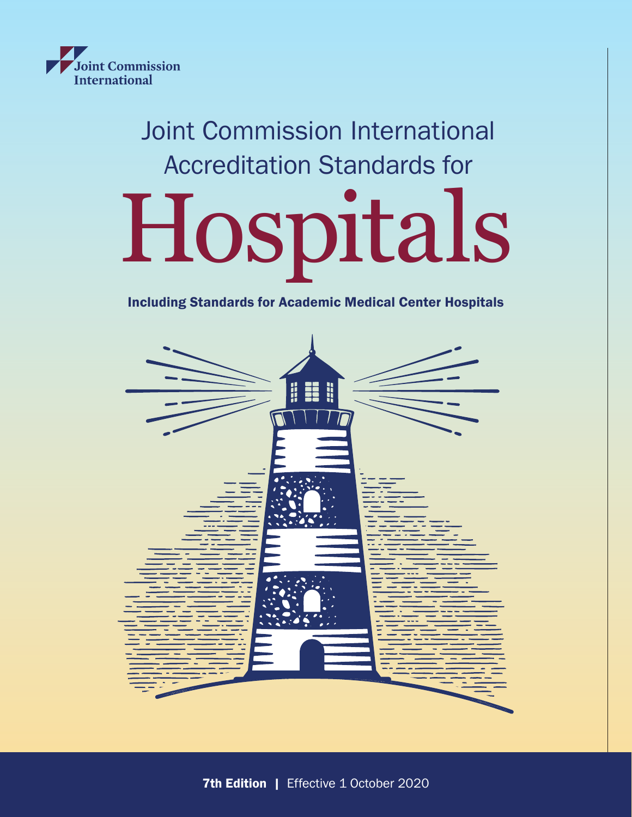

# Joint Commission International Accreditation Standards for

# Hospitals

# Including Standards for Academic Medical Center Hospitals

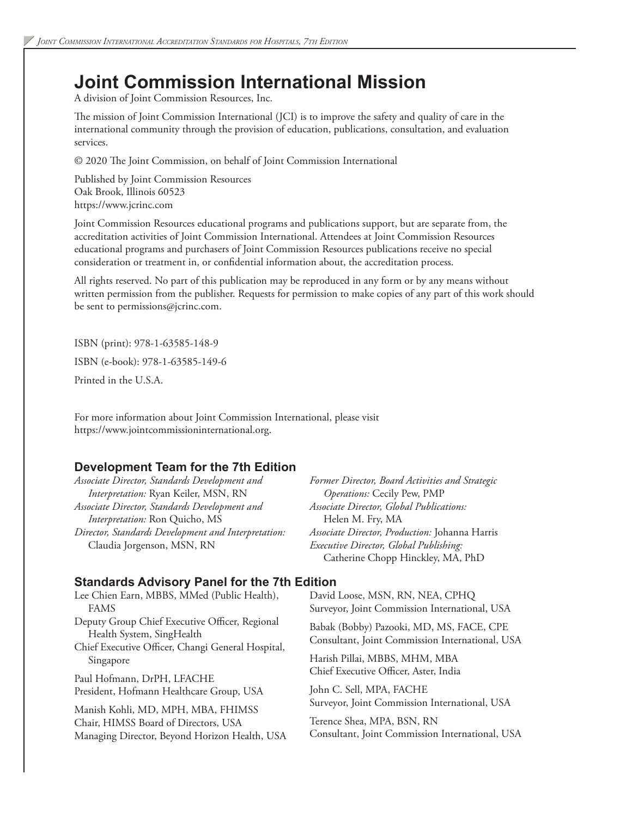# **Joint Commission International Mission**

A division of Joint Commission Resources, Inc.

The mission of Joint Commission International (JCI) is to improve the safety and quality of care in the international community through the provision of education, publications, consultation, and evaluation services.

© 2020 The Joint Commission, on behalf of Joint Commission International

Published by Joint Commission Resources Oak Brook, Illinois 60523 https://www.jcrinc.com

Joint Commission Resources educational programs and publications support, but are separate from, the accreditation activities of Joint Commission International. Attendees at Joint Commission Resources educational programs and purchasers of Joint Commission Resources publications receive no special consideration or treatment in, or confidential information about, the accreditation process.

All rights reserved. No part of this publication may be reproduced in any form or by any means without written permission from the publisher. Requests for permission to make copies of any part of this work should be sent to permissions@jcrinc.com.

ISBN (print): 978-1-63585-148-9

ISBN (e-book): 978-1-63585-149-6

Printed in the U.S.A.

For more information about Joint Commission International, please visit https://www.jointcommissioninternational.org.

## **Development Team for the 7th Edition**

*Associate Director, Standards Development and Interpretation:* Ryan Keiler, MSN, RN *Associate Director, Standards Development and Interpretation:* Ron Quicho, MS *Director, Standards Development and Interpretation:*  Claudia Jorgenson, MSN, RN

*Former Director, Board Activities and Strategic Operations:* Cecily Pew, PMP *Associate Director, Global Publications:*  Helen M. Fry, MA *Associate Director, Production:* Johanna Harris *Executive Director, Global Publishing:*  Catherine Chopp Hinckley, MA, PhD

## **Standards Advisory Panel for the 7th Edition**

Lee Chien Earn, MBBS, MMed (Public Health), FAMS Deputy Group Chief Executive Officer, Regional Health System, SingHealth Chief Executive Officer, Changi General Hospital, Singapore Paul Hofmann, DrPH, LFACHE President, Hofmann Healthcare Group, USA Manish Kohli, MD, MPH, MBA, FHIMSS Chair, HIMSS Board of Directors, USA Managing Director, Beyond Horizon Health, USA David Loose, MSN, RN, NEA, CPHQ Surveyor, Joint Commission International, USA Babak (Bobby) Pazooki, MD, MS, FACE, CPE Consultant, Joint Commission International, USA Harish Pillai, MBBS, MHM, MBA Chief Executive Officer, Aster, India John C. Sell, MPA, FACHE Surveyor, Joint Commission International, USA Terence Shea, MPA, BSN, RN Consultant, Joint Commission International, USA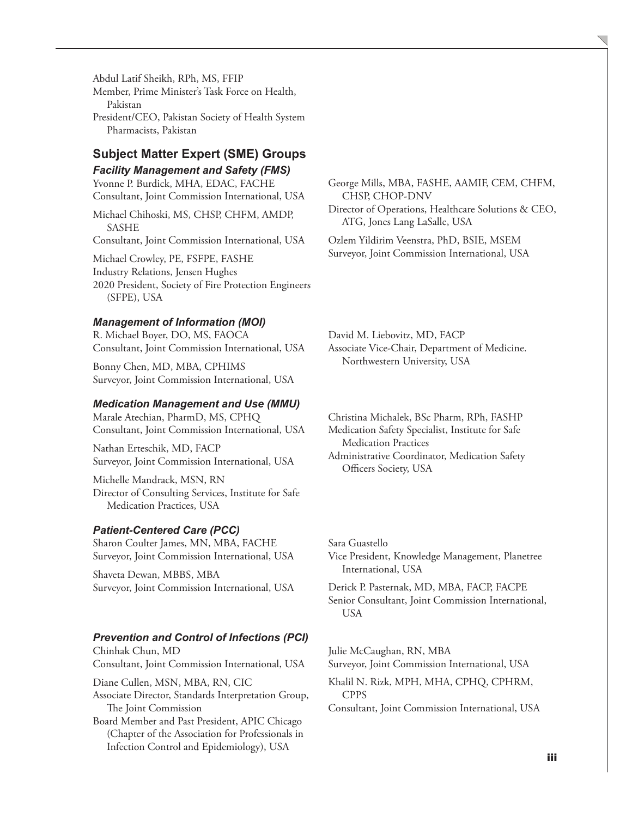Abdul Latif Sheikh, RPh, MS, FFIP Member, Prime Minister's Task Force on Health, Pakistan

President/CEO, Pakistan Society of Health System Pharmacists, Pakistan

# **Subject Matter Expert (SME) Groups**

*Facility Management and Safety (FMS)* Yvonne P. Burdick, MHA, EDAC, FACHE Consultant, Joint Commission International, USA

Michael Chihoski, MS, CHSP, CHFM, AMDP, SASHE Consultant, Joint Commission International, USA Michael Crowley, PE, FSFPE, FASHE Industry Relations, Jensen Hughes

2020 President, Society of Fire Protection Engineers (SFPE), USA

### *Management of Information (MOI)*

R. Michael Boyer, DO, MS, FAOCA Consultant, Joint Commission International, USA

Bonny Chen, MD, MBA, CPHIMS Surveyor, Joint Commission International, USA

#### *Medication Management and Use (MMU)*

Marale Atechian, PharmD, MS, CPHQ Consultant, Joint Commission International, USA

Nathan Erteschik, MD, FACP Surveyor, Joint Commission International, USA

Michelle Mandrack, MSN, RN Director of Consulting Services, Institute for Safe Medication Practices, USA

### *Patient-Centered Care (PCC)*

Sharon Coulter James, MN, MBA, FACHE Surveyor, Joint Commission International, USA

Shaveta Dewan, MBBS, MBA Surveyor, Joint Commission International, USA

### *Prevention and Control of Infections (PCI)*

Chinhak Chun, MD Consultant, Joint Commission International, USA

Diane Cullen, MSN, MBA, RN, CIC

Associate Director, Standards Interpretation Group, The Joint Commission

Board Member and Past President, APIC Chicago (Chapter of the Association for Professionals in Infection Control and Epidemiology), USA

George Mills, MBA, FASHE, AAMIF, CEM, CHFM, CHSP, CHOP-DNV Director of Operations, Healthcare Solutions & CEO, ATG, Jones Lang LaSalle, USA

Ozlem Yildirim Veenstra, PhD, BSIE, MSEM Surveyor, Joint Commission International, USA

David M. Liebovitz, MD, FACP Associate Vice-Chair, Department of Medicine. Northwestern University, USA

Christina Michalek, BSc Pharm, RPh, FASHP Medication Safety Specialist, Institute for Safe Medication Practices Administrative Coordinator, Medication Safety

Officers Society, USA

Sara Guastello Vice President, Knowledge Management, Planetree International, USA

Derick P. Pasternak, MD, MBA, FACP, FACPE Senior Consultant, Joint Commission International, USA

Julie McCaughan, RN, MBA Surveyor, Joint Commission International, USA

Khalil N. Rizk, MPH, MHA, CPHQ, CPHRM, CPPS

Consultant, Joint Commission International, USA